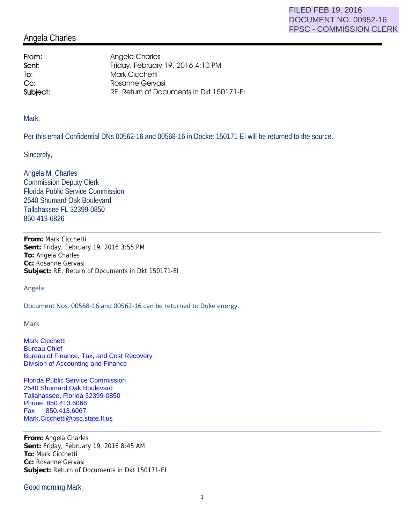## Angela Charles

From: Angela Charles **Sent:** Friday, February 19, 2016 4:10 PM To: Mark Cicchetti Cc: Rosanne Gervasi Subject: RE: Return of Documents in Dkt 150171-EI

Mark,

Per this email Confidential DNs 00562-16 and 00568-16 in Docket 150171-EI will be returned to the source.

Sincerely,

Angela M. Charles Commission Deputy Clerk Florida Public Service Commission 2540 Shumard Oak Boulevard Tallahassee FL 32399-0850 850-413-6826

**From:** Mark Cicchetti **Sent:** Friday, February 19, 2016 3:55 PM **To:** Angela Charles **Cc:** Rosanne Gervasi **Subject:** RE: Return of Documents in Dkt 150171-EI

Angela:

Document Nos. 00568-16 and 00562-16 can be returned to Duke energy.

Mark

Mark Cicchetti Bureau Chief Bureau of Finance, Tax, and Cost Recovery Division of Accounting and Finance

Florida Public Service Commission 2540 Shumard Oak Boulevard Tallahassee, Florida 32399-0850 Phone 850.413.6066 Fax 850.413.6067 Mark.Cicchetti@psc.state.fl.us

**From:** Angela Charles **Sent:** Friday, February 19, 2016 8:45 AM **To:** Mark Cicchetti **Cc:** Rosanne Gervasi **Subject:** Return of Documents in Dkt 150171-EI

Good morning Mark,